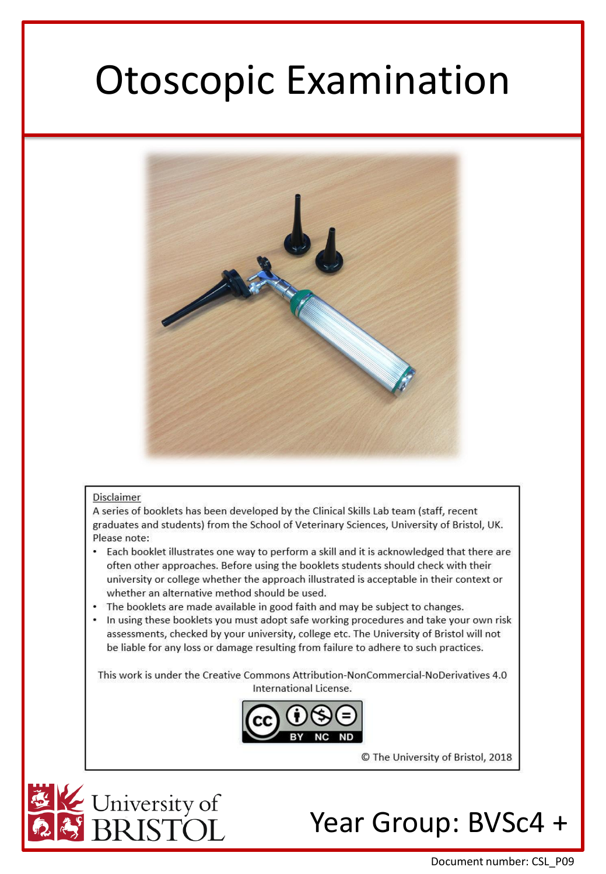# Otoscopic Examination



### Disclaimer

A series of booklets has been developed by the Clinical Skills Lab team (staff, recent graduates and students) from the School of Veterinary Sciences, University of Bristol, UK. Please note:

- Each booklet illustrates one way to perform a skill and it is acknowledged that there are often other approaches. Before using the booklets students should check with their university or college whether the approach illustrated is acceptable in their context or whether an alternative method should be used.
- The booklets are made available in good faith and may be subject to changes.
- In using these booklets you must adopt safe working procedures and take your own risk assessments, checked by your university, college etc. The University of Bristol will not be liable for any loss or damage resulting from failure to adhere to such practices.

This work is under the Creative Commons Attribution-NonCommercial-NoDerivatives 4.0 International License.



© The University of Bristol, 2018



## Year Group: BVSc4 +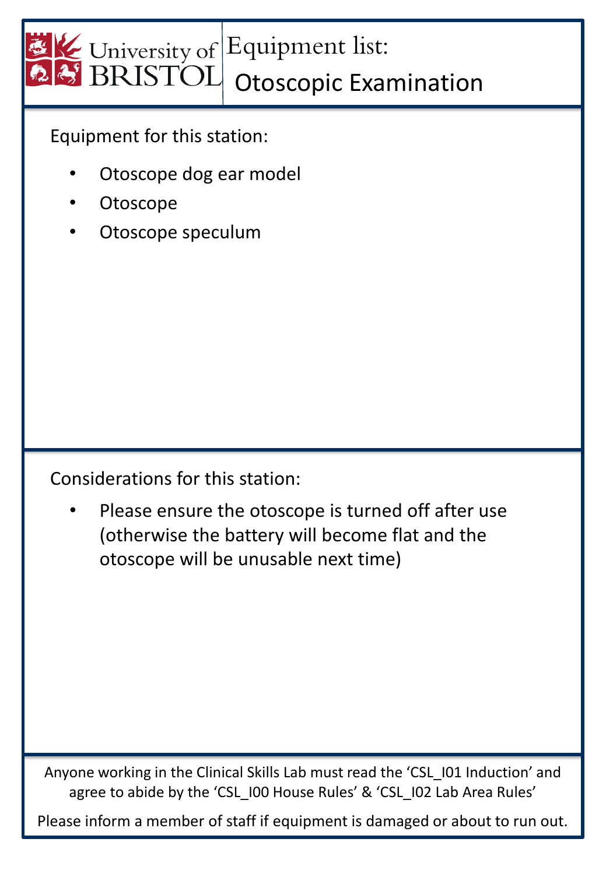

Equipment for this station:

- Otoscope dog ear model
- **Otoscope**
- Otoscope speculum

Considerations for this station:

Please ensure the otoscope is turned off after use (otherwise the battery will become flat and the otoscope will be unusable next time)

Anyone working in the Clinical Skills Lab must read the 'CSL\_I01 Induction' and agree to abide by the 'CSL\_I00 House Rules' & 'CSL\_I02 Lab Area Rules'

Please inform a member of staff if equipment is damaged or about to run out.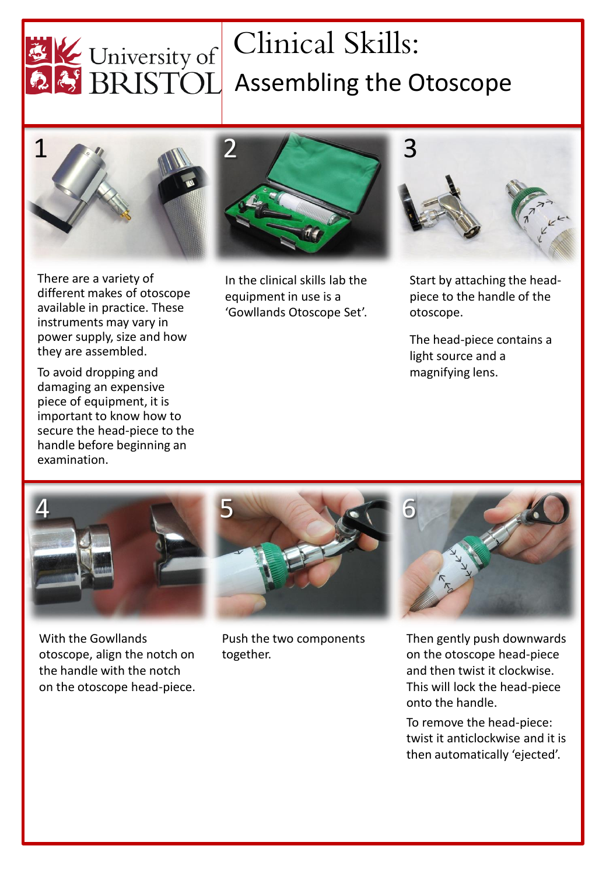

# Clinical Skills:  $\mathbb{K}$  University of Climical Skills:<br>BRISTOL Assembling the Otoscope





2

There are a variety of different makes of otoscope available in practice. These instruments may vary in power supply, size and how they are assembled.

To avoid dropping and damaging an expensive piece of equipment, it is important to know how to secure the head-piece to the handle before beginning an examination.

In the clinical skills lab the equipment in use is a 'Gowllands Otoscope Set'.



Start by attaching the headpiece to the handle of the otoscope.

The head-piece contains a light source and a magnifying lens.



With the Gowllands otoscope, align the notch on the handle with the notch on the otoscope head-piece.



Push the two components together.



Then gently push downwards on the otoscope head-piece and then twist it clockwise. This will lock the head-piece onto the handle.

To remove the head-piece: twist it anticlockwise and it is then automatically 'ejected'.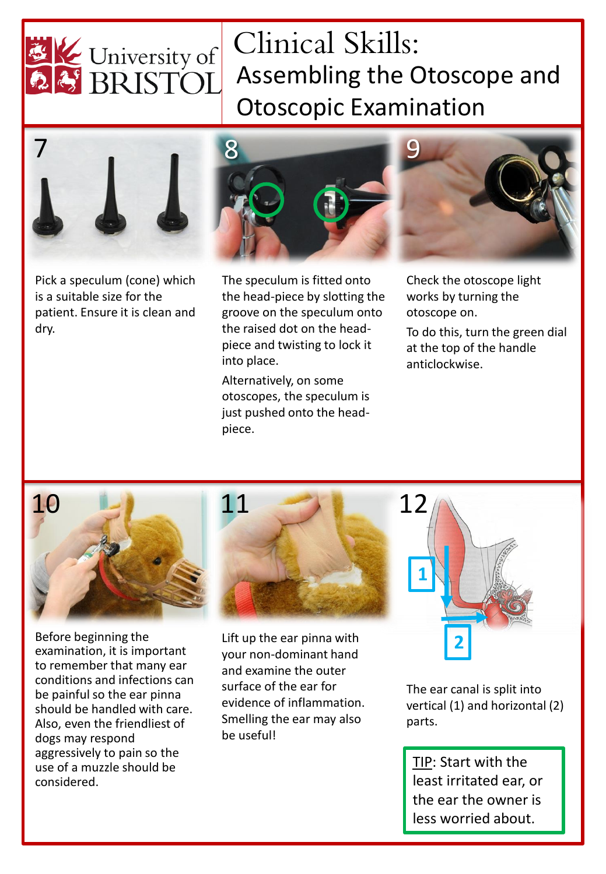

## Clinical Skills: Assembling the Otoscope and Otoscopic Examination



Pick a speculum (cone) which is a suitable size for the patient. Ensure it is clean and dry.



The speculum is fitted onto the head-piece by slotting the groove on the speculum onto the raised dot on the headpiece and twisting to lock it into place.

Alternatively, on some otoscopes, the speculum is just pushed onto the headpiece.

Check the otoscope light works by turning the otoscope on.

To do this, turn the green dial at the top of the handle anticlockwise.



Before beginning the examination, it is important to remember that many ear conditions and infections can be painful so the ear pinna should be handled with care. Also, even the friendliest of dogs may respond aggressively to pain so the use of a muzzle should be considered.



Lift up the ear pinna with your non-dominant hand and examine the outer surface of the ear for evidence of inflammation. Smelling the ear may also be useful!



The ear canal is split into vertical (1) and horizontal (2) parts.

TIP: Start with the least irritated ear, or the ear the owner is less worried about.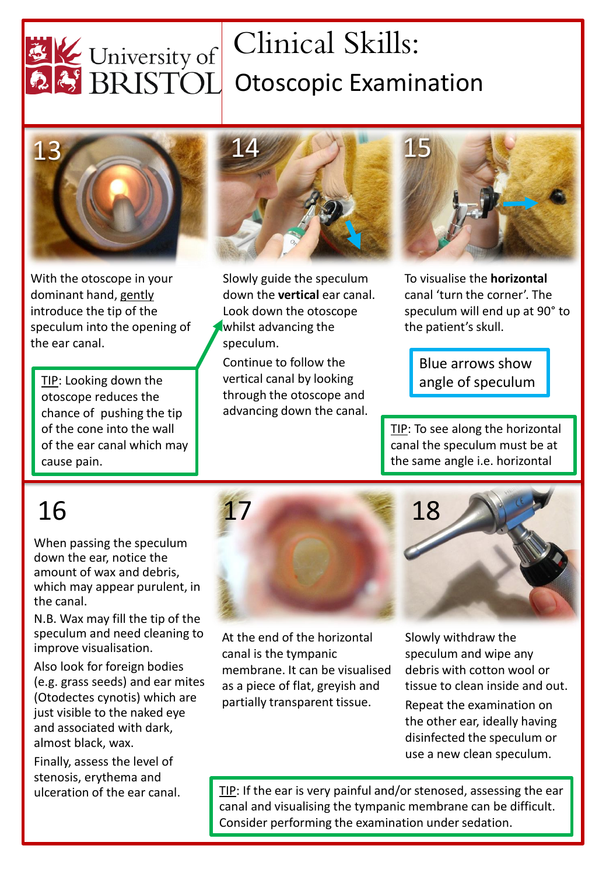

# Clinical Skills: University of Climical Skills:<br>25 BRISTOL Otoscopic Examination



With the otoscope in your dominant hand, gently introduce the tip of the speculum into the opening of the ear canal.

TIP: Looking down the otoscope reduces the chance of pushing the tip of the cone into the wall of the ear canal which may cause pain.



Slowly guide the speculum down the **vertical** ear canal. Look down the otoscope whilst advancing the speculum. Continue to follow the

vertical canal by looking through the otoscope and advancing down the canal.



To visualise the **horizontal** canal 'turn the corner'. The speculum will end up at 90° to the patient's skull.

Blue arrows show angle of speculum

TIP: To see along the horizontal canal the speculum must be at the same angle i.e. horizontal

When passing the speculum down the ear, notice the amount of wax and debris, which may appear purulent, in the canal.

N.B. Wax may fill the tip of the speculum and need cleaning to improve visualisation.

Also look for foreign bodies (e.g. grass seeds) and ear mites (Otodectes cynotis) which are just visible to the naked eye and associated with dark, almost black, wax.

Finally, assess the level of stenosis, erythema and ulceration of the ear canal.



At the end of the horizontal canal is the tympanic membrane. It can be visualised as a piece of flat, greyish and partially transparent tissue.

Slowly withdraw the speculum and wipe any debris with cotton wool or tissue to clean inside and out.

Repeat the examination on the other ear, ideally having disinfected the speculum or use a new clean speculum.

TIP: If the ear is very painful and/or stenosed, assessing the ear canal and visualising the tympanic membrane can be difficult. Consider performing the examination under sedation.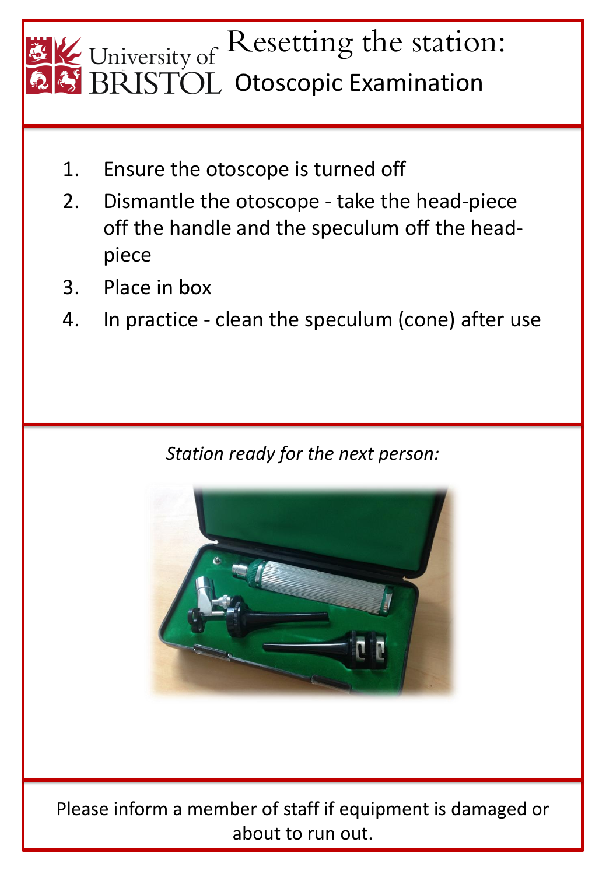

- 1. Ensure the otoscope is turned off
- 2. Dismantle the otoscope take the head-piece off the handle and the speculum off the headpiece
- 3. Place in box
- 4. In practice clean the speculum (cone) after use

*Station ready for the next person:*



Please inform a member of staff if equipment is damaged or about to run out.